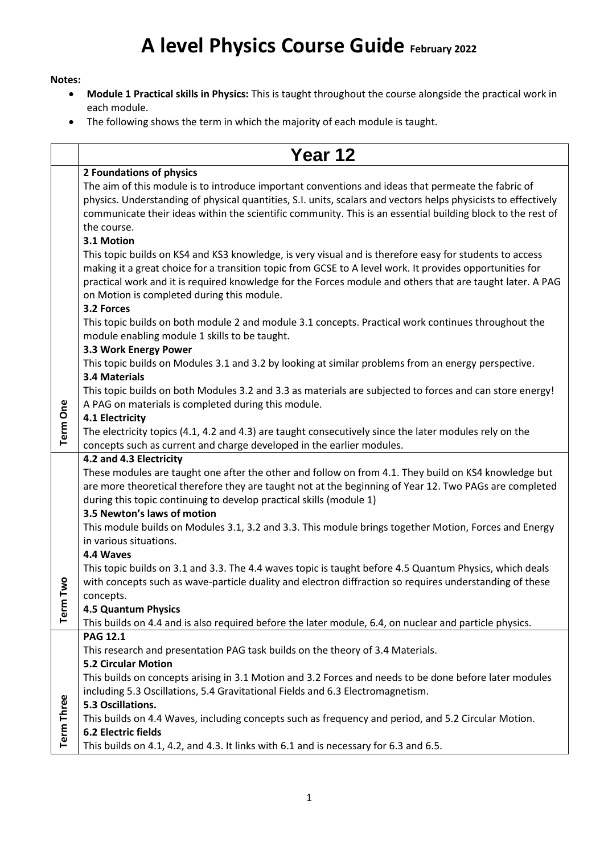## **A level Physics Course Guide February <sup>2022</sup>**

## **Notes:**

- **Module 1 Practical skills in Physics:** This is taught throughout the course alongside the practical work in each module.
- The following shows the term in which the majority of each module is taught.

|                   | Year 12                                                                                                                                                                                                                                                                                                                                                                                                                                                                                                                                                            |
|-------------------|--------------------------------------------------------------------------------------------------------------------------------------------------------------------------------------------------------------------------------------------------------------------------------------------------------------------------------------------------------------------------------------------------------------------------------------------------------------------------------------------------------------------------------------------------------------------|
|                   | 2 Foundations of physics                                                                                                                                                                                                                                                                                                                                                                                                                                                                                                                                           |
|                   | The aim of this module is to introduce important conventions and ideas that permeate the fabric of<br>physics. Understanding of physical quantities, S.I. units, scalars and vectors helps physicists to effectively<br>communicate their ideas within the scientific community. This is an essential building block to the rest of<br>the course.                                                                                                                                                                                                                 |
|                   | 3.1 Motion<br>This topic builds on KS4 and KS3 knowledge, is very visual and is therefore easy for students to access<br>making it a great choice for a transition topic from GCSE to A level work. It provides opportunities for<br>practical work and it is required knowledge for the Forces module and others that are taught later. A PAG<br>on Motion is completed during this module.<br>3.2 Forces<br>This topic builds on both module 2 and module 3.1 concepts. Practical work continues throughout the<br>module enabling module 1 skills to be taught. |
|                   | 3.3 Work Energy Power<br>This topic builds on Modules 3.1 and 3.2 by looking at similar problems from an energy perspective.<br>3.4 Materials                                                                                                                                                                                                                                                                                                                                                                                                                      |
|                   | This topic builds on both Modules 3.2 and 3.3 as materials are subjected to forces and can store energy!<br>A PAG on materials is completed during this module.<br>4.1 Electricity                                                                                                                                                                                                                                                                                                                                                                                 |
| <b>Term One</b>   | The electricity topics (4.1, 4.2 and 4.3) are taught consecutively since the later modules rely on the<br>concepts such as current and charge developed in the earlier modules.                                                                                                                                                                                                                                                                                                                                                                                    |
| å<br>Term T       | 4.2 and 4.3 Electricity<br>These modules are taught one after the other and follow on from 4.1. They build on KS4 knowledge but<br>are more theoretical therefore they are taught not at the beginning of Year 12. Two PAGs are completed<br>during this topic continuing to develop practical skills (module 1)<br>3.5 Newton's laws of motion                                                                                                                                                                                                                    |
|                   | This module builds on Modules 3.1, 3.2 and 3.3. This module brings together Motion, Forces and Energy<br>in various situations.<br>4.4 Waves                                                                                                                                                                                                                                                                                                                                                                                                                       |
|                   | This topic builds on 3.1 and 3.3. The 4.4 waves topic is taught before 4.5 Quantum Physics, which deals<br>with concepts such as wave-particle duality and electron diffraction so requires understanding of these<br>concepts.<br>4.5 Quantum Physics                                                                                                                                                                                                                                                                                                             |
|                   | This builds on 4.4 and is also required before the later module, 6.4, on nuclear and particle physics.                                                                                                                                                                                                                                                                                                                                                                                                                                                             |
|                   | <b>PAG 12.1</b><br>This research and presentation PAG task builds on the theory of 3.4 Materials.<br><b>5.2 Circular Motion</b><br>This builds on concepts arising in 3.1 Motion and 3.2 Forces and needs to be done before later modules<br>including 5.3 Oscillations, 5.4 Gravitational Fields and 6.3 Electromagnetism.                                                                                                                                                                                                                                        |
| <b>Term Three</b> | 5.3 Oscillations.<br>This builds on 4.4 Waves, including concepts such as frequency and period, and 5.2 Circular Motion.<br><b>6.2 Electric fields</b><br>This builds on 4.1, 4.2, and 4.3. It links with 6.1 and is necessary for 6.3 and 6.5.                                                                                                                                                                                                                                                                                                                    |